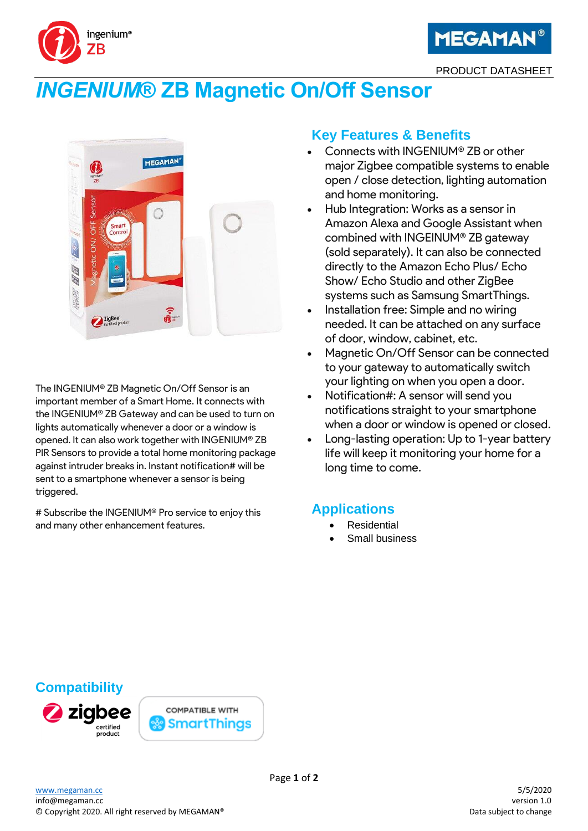

# *INGENIUM***® ZB Magnetic On/Off Sensor**



The INGENIUM® ZB Magnetic On/Off Sensor is an important member of a Smart Home. It connects with the INGENIUM® ZB Gateway and can be used to turn on lights automatically whenever a door or a window is opened. It can also work together with INGENIUM® ZB PIR Sensors to provide a total home monitoring package against intruder breaks in. Instant notification# will be sent to a smartphone whenever a sensor is being triggered.

# Subscribe the INGENIUM® Pro service to enjoy this and many other enhancement features.

## **Key Features & Benefits**

- Connects with INGENIUM® ZB or other major Zigbee compatible systems to enable open / close detection, lighting automation and home monitoring.
- Hub Integration: Works as a sensor in Amazon Alexa and Google Assistant when combined with INGEINUM® ZB gateway (sold separately). It can also be connected directly to the Amazon Echo Plus/ Echo Show/ Echo Studio and other ZigBee systems such as Samsung SmartThings.
- Installation free: Simple and no wiring needed. It can be attached on any surface of door, window, cabinet, etc.
- Magnetic On/Off Sensor can be connected to your gateway to automatically switch your lighting on when you open a door.
- Notification#: A sensor will send you notifications straight to your smartphone when a door or window is opened or closed.
- Long-lasting operation: Up to 1-year battery life will keep it monitoring your home for a long time to come.

# **Applications**

- **Residential**
- Small business

# **Compatibility**